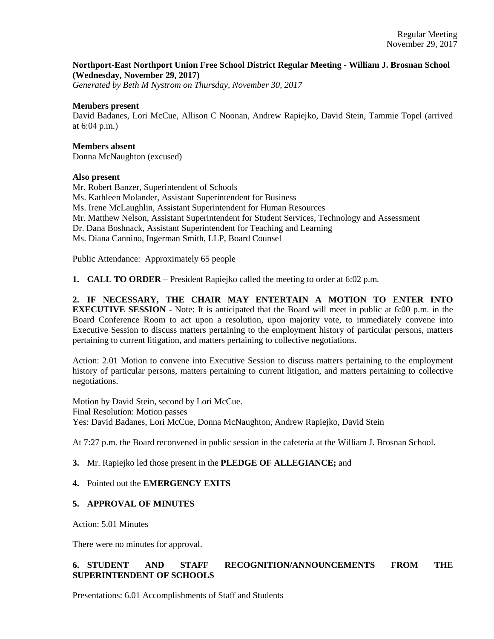### **Northport-East Northport Union Free School District Regular Meeting - William J. Brosnan School (Wednesday, November 29, 2017)**

*Generated by Beth M Nystrom on Thursday, November 30, 2017*

#### **Members present**

David Badanes, Lori McCue, Allison C Noonan, Andrew Rapiejko, David Stein, Tammie Topel (arrived at 6:04 p.m.)

#### **Members absent**

Donna McNaughton (excused)

#### **Also present**

Mr. Robert Banzer, Superintendent of Schools Ms. Kathleen Molander, Assistant Superintendent for Business Ms. Irene McLaughlin, Assistant Superintendent for Human Resources Mr. Matthew Nelson, Assistant Superintendent for Student Services, Technology and Assessment Dr. Dana Boshnack, Assistant Superintendent for Teaching and Learning Ms. Diana Cannino, Ingerman Smith, LLP, Board Counsel

Public Attendance: Approximately 65 people

**1. CALL TO ORDER** – President Rapiejko called the meeting to order at 6:02 p.m.

**2. IF NECESSARY, THE CHAIR MAY ENTERTAIN A MOTION TO ENTER INTO EXECUTIVE SESSION** - Note: It is anticipated that the Board will meet in public at 6:00 p.m. in the Board Conference Room to act upon a resolution, upon majority vote, to immediately convene into Executive Session to discuss matters pertaining to the employment history of particular persons, matters pertaining to current litigation, and matters pertaining to collective negotiations.

Action: 2.01 Motion to convene into Executive Session to discuss matters pertaining to the employment history of particular persons, matters pertaining to current litigation, and matters pertaining to collective negotiations.

Motion by David Stein, second by Lori McCue. Final Resolution: Motion passes Yes: David Badanes, Lori McCue, Donna McNaughton, Andrew Rapiejko, David Stein

At 7:27 p.m. the Board reconvened in public session in the cafeteria at the William J. Brosnan School.

### **3.** Mr. Rapiejko led those present in the **PLEDGE OF ALLEGIANCE;** and

### **4.** Pointed out the **EMERGENCY EXITS**

### **5. APPROVAL OF MINUTES**

Action: 5.01 Minutes

There were no minutes for approval.

# **6. STUDENT AND STAFF RECOGNITION/ANNOUNCEMENTS FROM THE SUPERINTENDENT OF SCHOOLS**

Presentations: 6.01 Accomplishments of Staff and Students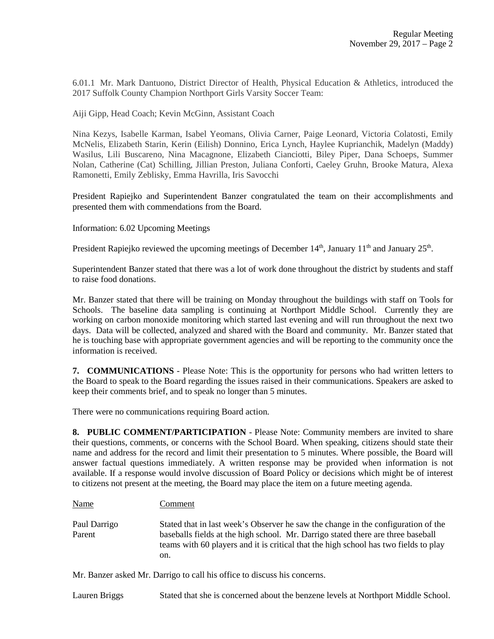6.01.1 Mr. Mark Dantuono, District Director of Health, Physical Education & Athletics, introduced the 2017 Suffolk County Champion Northport Girls Varsity Soccer Team:

Aiji Gipp, Head Coach; Kevin McGinn, Assistant Coach

Nina Kezys, Isabelle Karman, Isabel Yeomans, Olivia Carner, Paige Leonard, Victoria Colatosti, Emily McNelis, Elizabeth Starin, Kerin (Eilish) Donnino, Erica Lynch, Haylee Kuprianchik, Madelyn (Maddy) Wasilus, Lili Buscareno, Nina Macagnone, Elizabeth Cianciotti, Biley Piper, Dana Schoeps, Summer Nolan, Catherine (Cat) Schilling, Jillian Preston, Juliana Conforti, Caeley Gruhn, Brooke Matura, Alexa Ramonetti, Emily Zeblisky, Emma Havrilla, Iris Savocchi

President Rapiejko and Superintendent Banzer congratulated the team on their accomplishments and presented them with commendations from the Board.

Information: 6.02 Upcoming Meetings

President Rapiejko reviewed the upcoming meetings of December  $14<sup>th</sup>$ , January  $11<sup>th</sup>$  and January  $25<sup>th</sup>$ .

Superintendent Banzer stated that there was a lot of work done throughout the district by students and staff to raise food donations.

Mr. Banzer stated that there will be training on Monday throughout the buildings with staff on Tools for Schools. The baseline data sampling is continuing at Northport Middle School. Currently they are working on carbon monoxide monitoring which started last evening and will run throughout the next two days. Data will be collected, analyzed and shared with the Board and community. Mr. Banzer stated that he is touching base with appropriate government agencies and will be reporting to the community once the information is received.

**7. COMMUNICATIONS** - Please Note: This is the opportunity for persons who had written letters to the Board to speak to the Board regarding the issues raised in their communications. Speakers are asked to keep their comments brief, and to speak no longer than 5 minutes.

There were no communications requiring Board action.

**8. PUBLIC COMMENT/PARTICIPATION** - Please Note: Community members are invited to share their questions, comments, or concerns with the School Board. When speaking, citizens should state their name and address for the record and limit their presentation to 5 minutes. Where possible, the Board will answer factual questions immediately. A written response may be provided when information is not available. If a response would involve discussion of Board Policy or decisions which might be of interest to citizens not present at the meeting, the Board may place the item on a future meeting agenda.

| <b>Name</b>            | Comment                                                                                                                                                                                                                                                              |
|------------------------|----------------------------------------------------------------------------------------------------------------------------------------------------------------------------------------------------------------------------------------------------------------------|
| Paul Darrigo<br>Parent | Stated that in last week's Observer he saw the change in the configuration of the<br>baseballs fields at the high school. Mr. Darrigo stated there are three baseball<br>teams with 60 players and it is critical that the high school has two fields to play<br>on. |

Mr. Banzer asked Mr. Darrigo to call his office to discuss his concerns.

Lauren Briggs Stated that she is concerned about the benzene levels at Northport Middle School.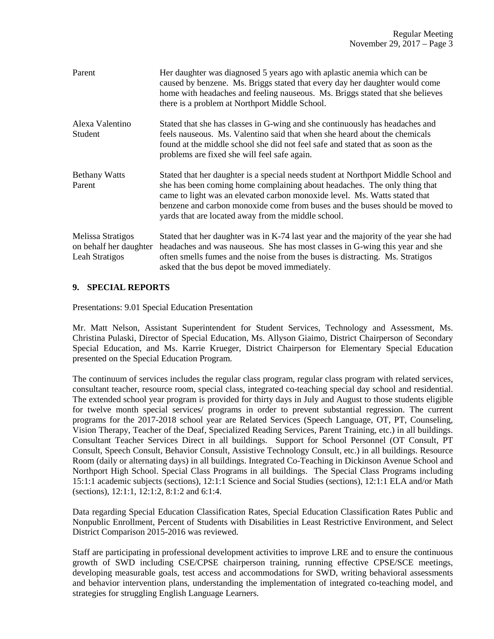| Parent                                                        | Her daughter was diagnosed 5 years ago with aplastic anemia which can be<br>caused by benzene. Ms. Briggs stated that every day her daughter would come<br>home with headaches and feeling nauseous. Ms. Briggs stated that she believes<br>there is a problem at Northport Middle School.                                                                                           |
|---------------------------------------------------------------|--------------------------------------------------------------------------------------------------------------------------------------------------------------------------------------------------------------------------------------------------------------------------------------------------------------------------------------------------------------------------------------|
| Alexa Valentino<br>Student                                    | Stated that she has classes in G-wing and she continuously has headaches and<br>feels nauseous. Ms. Valentino said that when she heard about the chemicals<br>found at the middle school she did not feel safe and stated that as soon as the<br>problems are fixed she will feel safe again.                                                                                        |
| <b>Bethany Watts</b><br>Parent                                | Stated that her daughter is a special needs student at Northport Middle School and<br>she has been coming home complaining about headaches. The only thing that<br>came to light was an elevated carbon monoxide level. Ms. Watts stated that<br>benzene and carbon monoxide come from buses and the buses should be moved to<br>yards that are located away from the middle school. |
| Melissa Stratigos<br>on behalf her daughter<br>Leah Stratigos | Stated that her daughter was in K-74 last year and the majority of the year she had<br>headaches and was nauseous. She has most classes in G-wing this year and she<br>often smells fumes and the noise from the buses is distracting. Ms. Stratigos<br>asked that the bus depot be moved immediately.                                                                               |

### **9. SPECIAL REPORTS**

Presentations: 9.01 Special Education Presentation

Mr. Matt Nelson, Assistant Superintendent for Student Services, Technology and Assessment, Ms. Christina Pulaski, Director of Special Education, Ms. Allyson Giaimo, District Chairperson of Secondary Special Education, and Ms. Karrie Krueger, District Chairperson for Elementary Special Education presented on the Special Education Program.

The continuum of services includes the regular class program, regular class program with related services, consultant teacher, resource room, special class, integrated co-teaching special day school and residential. The extended school year program is provided for thirty days in July and August to those students eligible for twelve month special services/ programs in order to prevent substantial regression. The current programs for the 2017-2018 school year are Related Services (Speech Language, OT, PT, Counseling, Vision Therapy, Teacher of the Deaf, Specialized Reading Services, Parent Training, etc.) in all buildings. Consultant Teacher Services Direct in all buildings. Support for School Personnel (OT Consult, PT Consult, Speech Consult, Behavior Consult, Assistive Technology Consult, etc.) in all buildings. Resource Room (daily or alternating days) in all buildings. Integrated Co-Teaching in Dickinson Avenue School and Northport High School. Special Class Programs in all buildings. The Special Class Programs including 15:1:1 academic subjects (sections), 12:1:1 Science and Social Studies (sections), 12:1:1 ELA and/or Math (sections), 12:1:1, 12:1:2, 8:1:2 and 6:1:4.

Data regarding Special Education Classification Rates, Special Education Classification Rates Public and Nonpublic Enrollment, Percent of Students with Disabilities in Least Restrictive Environment, and Select District Comparison 2015-2016 was reviewed.

Staff are participating in professional development activities to improve LRE and to ensure the continuous growth of SWD including CSE/CPSE chairperson training, running effective CPSE/SCE meetings, developing measurable goals, test access and accommodations for SWD, writing behavioral assessments and behavior intervention plans, understanding the implementation of integrated co-teaching model, and strategies for struggling English Language Learners.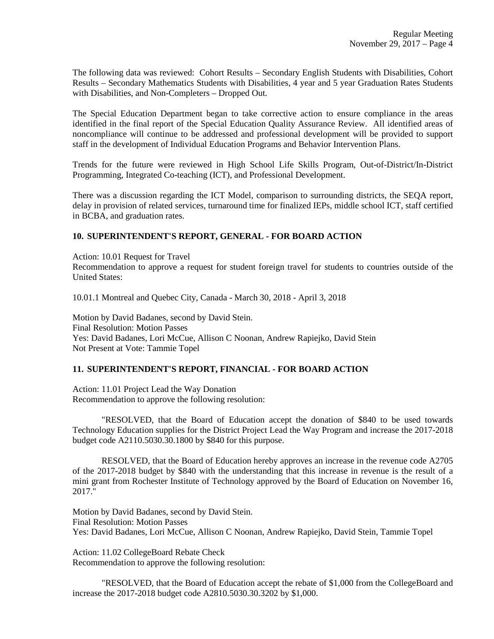The following data was reviewed: Cohort Results – Secondary English Students with Disabilities, Cohort Results – Secondary Mathematics Students with Disabilities, 4 year and 5 year Graduation Rates Students with Disabilities, and Non-Completers – Dropped Out.

The Special Education Department began to take corrective action to ensure compliance in the areas identified in the final report of the Special Education Quality Assurance Review. All identified areas of noncompliance will continue to be addressed and professional development will be provided to support staff in the development of Individual Education Programs and Behavior Intervention Plans.

Trends for the future were reviewed in High School Life Skills Program, Out-of-District/In-District Programming, Integrated Co-teaching (ICT), and Professional Development.

There was a discussion regarding the ICT Model, comparison to surrounding districts, the SEQA report, delay in provision of related services, turnaround time for finalized IEPs, middle school ICT, staff certified in BCBA, and graduation rates.

#### **10. SUPERINTENDENT'S REPORT, GENERAL - FOR BOARD ACTION**

Action: 10.01 Request for Travel

Recommendation to approve a request for student foreign travel for students to countries outside of the United States:

10.01.1 Montreal and Quebec City, Canada - March 30, 2018 - April 3, 2018

Motion by David Badanes, second by David Stein. Final Resolution: Motion Passes Yes: David Badanes, Lori McCue, Allison C Noonan, Andrew Rapiejko, David Stein Not Present at Vote: Tammie Topel

#### **11. SUPERINTENDENT'S REPORT, FINANCIAL - FOR BOARD ACTION**

Action: 11.01 Project Lead the Way Donation Recommendation to approve the following resolution:

"RESOLVED, that the Board of Education accept the donation of \$840 to be used towards Technology Education supplies for the District Project Lead the Way Program and increase the 2017-2018 budget code A2110.5030.30.1800 by \$840 for this purpose.

RESOLVED, that the Board of Education hereby approves an increase in the revenue code A2705 of the 2017-2018 budget by \$840 with the understanding that this increase in revenue is the result of a mini grant from Rochester Institute of Technology approved by the Board of Education on November 16, 2017."

Motion by David Badanes, second by David Stein. Final Resolution: Motion Passes Yes: David Badanes, Lori McCue, Allison C Noonan, Andrew Rapiejko, David Stein, Tammie Topel

Action: 11.02 CollegeBoard Rebate Check Recommendation to approve the following resolution:

"RESOLVED, that the Board of Education accept the rebate of \$1,000 from the CollegeBoard and increase the 2017-2018 budget code A2810.5030.30.3202 by \$1,000.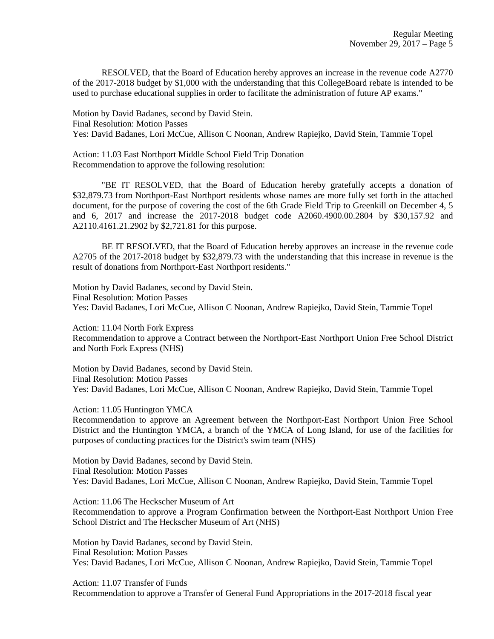RESOLVED, that the Board of Education hereby approves an increase in the revenue code A2770 of the 2017-2018 budget by \$1,000 with the understanding that this CollegeBoard rebate is intended to be used to purchase educational supplies in order to facilitate the administration of future AP exams."

Motion by David Badanes, second by David Stein. Final Resolution: Motion Passes Yes: David Badanes, Lori McCue, Allison C Noonan, Andrew Rapiejko, David Stein, Tammie Topel

Action: 11.03 East Northport Middle School Field Trip Donation Recommendation to approve the following resolution:

"BE IT RESOLVED, that the Board of Education hereby gratefully accepts a donation of \$32,879.73 from Northport-East Northport residents whose names are more fully set forth in the attached document, for the purpose of covering the cost of the 6th Grade Field Trip to Greenkill on December 4, 5 and 6, 2017 and increase the 2017-2018 budget code A2060.4900.00.2804 by \$30,157.92 and A2110.4161.21.2902 by \$2,721.81 for this purpose.

BE IT RESOLVED, that the Board of Education hereby approves an increase in the revenue code A2705 of the 2017-2018 budget by \$32,879.73 with the understanding that this increase in revenue is the result of donations from Northport-East Northport residents."

Motion by David Badanes, second by David Stein. Final Resolution: Motion Passes Yes: David Badanes, Lori McCue, Allison C Noonan, Andrew Rapiejko, David Stein, Tammie Topel

Action: 11.04 North Fork Express Recommendation to approve a Contract between the Northport-East Northport Union Free School District and North Fork Express (NHS)

Motion by David Badanes, second by David Stein. Final Resolution: Motion Passes Yes: David Badanes, Lori McCue, Allison C Noonan, Andrew Rapiejko, David Stein, Tammie Topel

Action: 11.05 Huntington YMCA

Recommendation to approve an Agreement between the Northport-East Northport Union Free School District and the Huntington YMCA, a branch of the YMCA of Long Island, for use of the facilities for purposes of conducting practices for the District's swim team (NHS)

Motion by David Badanes, second by David Stein. Final Resolution: Motion Passes Yes: David Badanes, Lori McCue, Allison C Noonan, Andrew Rapiejko, David Stein, Tammie Topel

Action: 11.06 The Heckscher Museum of Art Recommendation to approve a Program Confirmation between the Northport-East Northport Union Free School District and The Heckscher Museum of Art (NHS)

Motion by David Badanes, second by David Stein. Final Resolution: Motion Passes Yes: David Badanes, Lori McCue, Allison C Noonan, Andrew Rapiejko, David Stein, Tammie Topel

Action: 11.07 Transfer of Funds Recommendation to approve a Transfer of General Fund Appropriations in the 2017-2018 fiscal year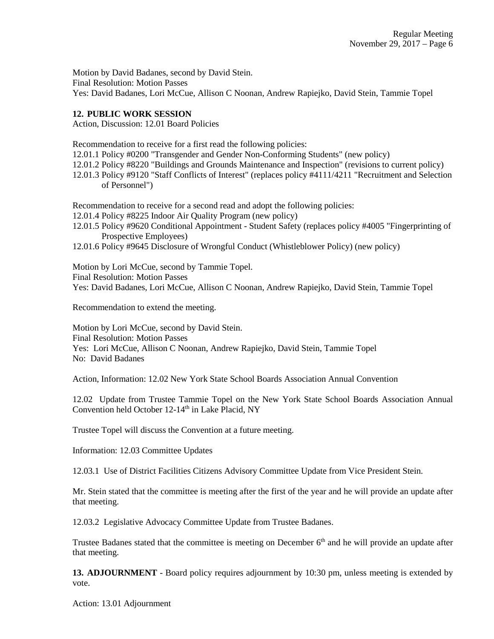Motion by David Badanes, second by David Stein. Final Resolution: Motion Passes Yes: David Badanes, Lori McCue, Allison C Noonan, Andrew Rapiejko, David Stein, Tammie Topel

## **12. PUBLIC WORK SESSION**

Action, Discussion: 12.01 Board Policies

Recommendation to receive for a first read the following policies:

12.01.1 Policy #0200 "Transgender and Gender Non-Conforming Students" (new policy)

- 12.01.2 Policy #8220 "Buildings and Grounds Maintenance and Inspection" (revisions to current policy)
- 12.01.3 Policy #9120 "Staff Conflicts of Interest" (replaces policy #4111/4211 "Recruitment and Selection of Personnel")

Recommendation to receive for a second read and adopt the following policies:

12.01.4 Policy #8225 Indoor Air Quality Program (new policy)

- 12.01.5 Policy #9620 Conditional Appointment Student Safety (replaces policy #4005 "Fingerprinting of Prospective Employees)
- 12.01.6 Policy #9645 Disclosure of Wrongful Conduct (Whistleblower Policy) (new policy)

Motion by Lori McCue, second by Tammie Topel. Final Resolution: Motion Passes

Yes: David Badanes, Lori McCue, Allison C Noonan, Andrew Rapiejko, David Stein, Tammie Topel

Recommendation to extend the meeting.

Motion by Lori McCue, second by David Stein. Final Resolution: Motion Passes Yes: Lori McCue, Allison C Noonan, Andrew Rapiejko, David Stein, Tammie Topel No: David Badanes

Action, Information: 12.02 New York State School Boards Association Annual Convention

12.02 Update from Trustee Tammie Topel on the New York State School Boards Association Annual Convention held October 12-14<sup>th</sup> in Lake Placid, NY

Trustee Topel will discuss the Convention at a future meeting.

Information: 12.03 Committee Updates

12.03.1 Use of District Facilities Citizens Advisory Committee Update from Vice President Stein.

Mr. Stein stated that the committee is meeting after the first of the year and he will provide an update after that meeting.

12.03.2 Legislative Advocacy Committee Update from Trustee Badanes.

Trustee Badanes stated that the committee is meeting on December 6<sup>th</sup> and he will provide an update after that meeting.

**13. ADJOURNMENT** - Board policy requires adjournment by 10:30 pm, unless meeting is extended by vote.

Action: 13.01 Adjournment